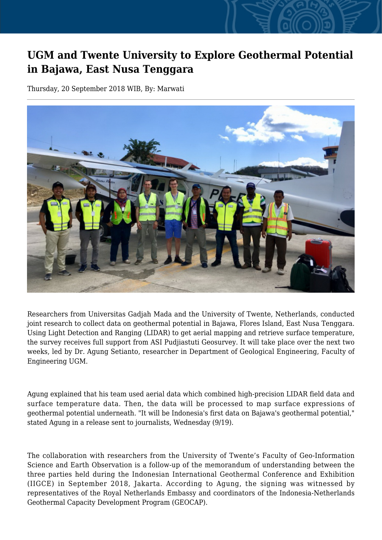## **UGM and Twente University to Explore Geothermal Potential in Bajawa, East Nusa Tenggara**

Thursday, 20 September 2018 WIB, By: Marwati



Researchers from Universitas Gadjah Mada and the University of Twente, Netherlands, conducted joint research to collect data on geothermal potential in Bajawa, Flores Island, East Nusa Tenggara. Using Light Detection and Ranging (LIDAR) to get aerial mapping and retrieve surface temperature, the survey receives full support from ASI Pudjiastuti Geosurvey. It will take place over the next two weeks, led by Dr. Agung Setianto, researcher in Department of Geological Engineering, Faculty of Engineering UGM.

Agung explained that his team used aerial data which combined high-precision LIDAR field data and surface temperature data. Then, the data will be processed to map surface expressions of geothermal potential underneath. "It will be Indonesia's first data on Bajawa's geothermal potential," stated Agung in a release sent to journalists, Wednesday (9/19).

The collaboration with researchers from the University of Twente's Faculty of Geo-Information Science and Earth Observation is a follow-up of the memorandum of understanding between the three parties held during the Indonesian International Geothermal Conference and Exhibition (IIGCE) in September 2018, Jakarta. According to Agung, the signing was witnessed by representatives of the Royal Netherlands Embassy and coordinators of the Indonesia-Netherlands Geothermal Capacity Development Program (GEOCAP).